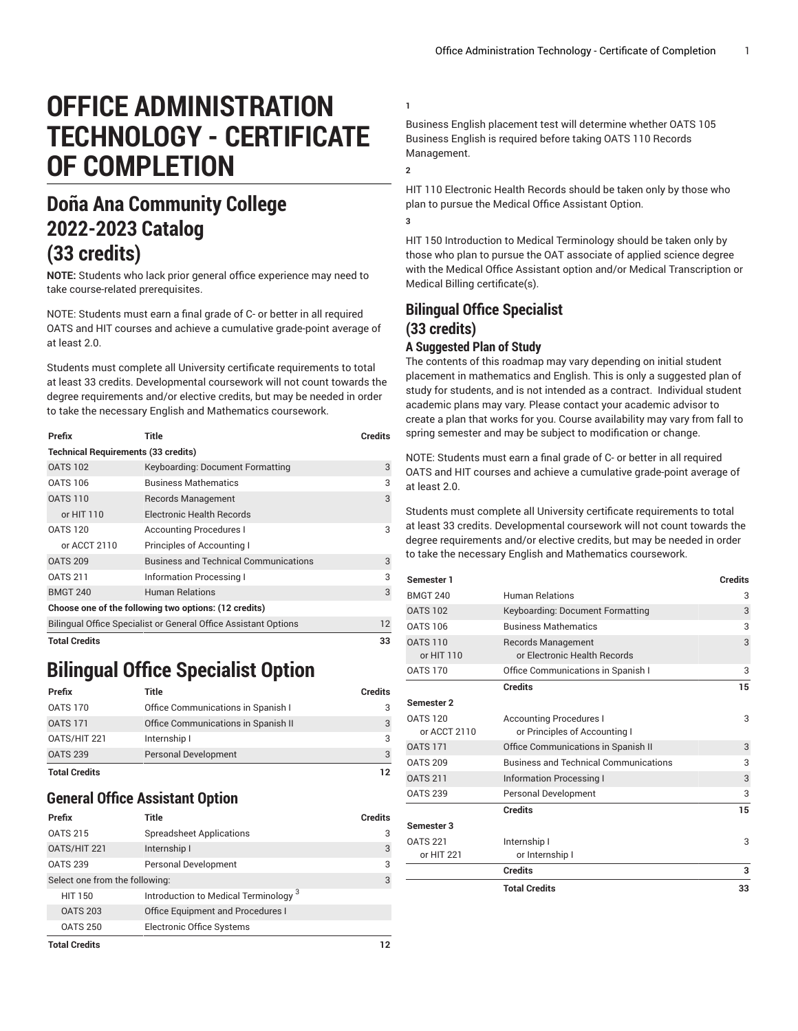# **OFFICE ADMINISTRATION TECHNOLOGY - CERTIFICATE OF COMPLETION**

## **Doña Ana Community College 2022-2023 Catalog (33 credits)**

**NOTE:** Students who lack prior general office experience may need to take course-related prerequisites.

NOTE: Students must earn a final grade of C- or better in all required OATS and HIT courses and achieve a cumulative grade-point average of at least 2.0.

Students must complete all University certificate requirements to total at least 33 credits. Developmental coursework will not count towards the degree requirements and/or elective credits, but may be needed in order to take the necessary English and Mathematics coursework.

| Prefix                                                          | Title                                        | <b>Credits</b> |  |  |
|-----------------------------------------------------------------|----------------------------------------------|----------------|--|--|
| <b>Technical Requirements (33 credits)</b>                      |                                              |                |  |  |
| <b>OATS 102</b>                                                 | Keyboarding: Document Formatting             | 3              |  |  |
| <b>OATS 106</b>                                                 | <b>Business Mathematics</b>                  | 3              |  |  |
| <b>OATS 110</b>                                                 | <b>Records Management</b>                    | 3              |  |  |
| or HIT 110                                                      | Electronic Health Records                    |                |  |  |
| <b>OATS 120</b>                                                 | <b>Accounting Procedures I</b>               | 3              |  |  |
| or ACCT 2110                                                    | Principles of Accounting I                   |                |  |  |
| <b>OATS 209</b>                                                 | <b>Business and Technical Communications</b> | 3              |  |  |
| <b>OATS 211</b>                                                 | Information Processing I                     | 3              |  |  |
| <b>BMGT 240</b>                                                 | <b>Human Relations</b>                       | 3              |  |  |
| Choose one of the following two options: (12 credits)           |                                              |                |  |  |
| Bilingual Office Specialist or General Office Assistant Options | 12                                           |                |  |  |
| Total Credits                                                   | 33                                           |                |  |  |

### **Bilingual Office Specialist Option**

| Prefix               | Title                               | <b>Credits</b> |
|----------------------|-------------------------------------|----------------|
| <b>OATS 170</b>      | Office Communications in Spanish I  | 3              |
| <b>OATS 171</b>      | Office Communications in Spanish II | 3              |
| OATS/HIT 221         | Internship I                        | 3              |
| <b>OATS 239</b>      | <b>Personal Development</b>         | $\mathcal{B}$  |
| <b>Total Credits</b> |                                     | 12             |

#### **General Office Assistant Option**

| Prefix                         | Title                                            | <b>Credits</b> |
|--------------------------------|--------------------------------------------------|----------------|
| <b>OATS 215</b>                | <b>Spreadsheet Applications</b>                  | 3              |
| OATS/HIT 221                   | Internship I                                     | 3              |
| <b>OATS 239</b>                | Personal Development                             | 3              |
| Select one from the following: | 3                                                |                |
| <b>HIT 150</b>                 | Introduction to Medical Terminology <sup>3</sup> |                |
| <b>OATS 203</b>                | Office Equipment and Procedures I                |                |
| <b>OATS 250</b>                | <b>Electronic Office Systems</b>                 |                |
| <b>Total Credits</b>           | 12                                               |                |

Business English placement test will determine whether OATS 105 Business English is required before taking OATS 110 Records Management.

**2**

**1**

HIT 110 Electronic Health Records should be taken only by those who plan to pursue the Medical Office Assistant Option.

**3**

HIT 150 Introduction to Medical Terminology should be taken only by those who plan to pursue the OAT associate of applied science degree with the Medical Office Assistant option and/or Medical Transcription or Medical Billing certificate(s).

### **Bilingual Office Specialist (33 credits)**

#### **A Suggested Plan of Study**

The contents of this roadmap may vary depending on initial student placement in mathematics and English. This is only a suggested plan of study for students, and is not intended as a contract. Individual student academic plans may vary. Please contact your academic advisor to create a plan that works for you. Course availability may vary from fall to spring semester and may be subject to modification or change.

NOTE: Students must earn a final grade of C- or better in all required OATS and HIT courses and achieve a cumulative grade-point average of at least 2.0.

Students must complete all University certificate requirements to total at least 33 credits. Developmental coursework will not count towards the degree requirements and/or elective credits, but may be needed in order to take the necessary English and Mathematics coursework.

| Semester 1                      |                                                                 | <b>Credits</b> |
|---------------------------------|-----------------------------------------------------------------|----------------|
| <b>BMGT 240</b>                 | <b>Human Relations</b>                                          | 3              |
| <b>OATS 102</b>                 | Keyboarding: Document Formatting                                | 3              |
| <b>OATS 106</b>                 | <b>Business Mathematics</b>                                     | 3              |
| <b>OATS 110</b><br>or HIT 110   | <b>Records Management</b><br>or Electronic Health Records       | 3              |
| <b>OATS 170</b>                 | Office Communications in Spanish I                              | 3              |
|                                 | <b>Credits</b>                                                  | 15             |
| Semester 2                      |                                                                 |                |
| <b>OATS 120</b><br>or ACCT 2110 | <b>Accounting Procedures I</b><br>or Principles of Accounting I | 3              |
| <b>OATS 171</b>                 | Office Communications in Spanish II                             | 3              |
| <b>OATS 209</b>                 | <b>Business and Technical Communications</b>                    | 3              |
| <b>OATS 211</b>                 | <b>Information Processing I</b>                                 | 3              |
| <b>OATS 239</b>                 | <b>Personal Development</b>                                     | 3              |
|                                 | <b>Credits</b>                                                  | 15             |
| Semester 3                      |                                                                 |                |
| <b>OATS 221</b><br>or HIT 221   | Internship I<br>or Internship I                                 | 3              |
|                                 | <b>Credits</b>                                                  | 3              |
|                                 | <b>Total Credits</b>                                            | 33             |